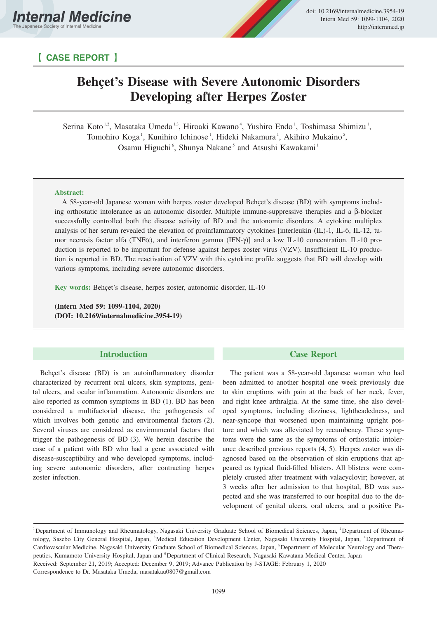

## 【 **CASE REPORT** 】

# **Behçet's Disease with Severe Autonomic Disorders Developing after Herpes Zoster**

Serina Koto<sup>1,2</sup>, Masataka Umeda<sup>1,3</sup>, Hiroaki Kawano<sup>4</sup>, Yushiro Endo<sup>1</sup>, Toshimasa Shimizu<sup>1</sup>, Tomohiro Koga<sup>1</sup>, Kunihiro Ichinose<sup>1</sup>, Hideki Nakamura<sup>1</sup>, Akihiro Mukaino<sup>5</sup>, Osamu Higuchi<sup>6</sup>, Shunya Nakane<sup>5</sup> and Atsushi Kawakami<sup>1</sup>

### **Abstract:**

A 58-year-old Japanese woman with herpes zoster developed Behçet's disease (BD) with symptoms including orthostatic intolerance as an autonomic disorder. Multiple immune-suppressive therapies and a β-blocker successfully controlled both the disease activity of BD and the autonomic disorders. A cytokine multiplex analysis of her serum revealed the elevation of proinflammatory cytokines [interleukin (IL)-1, IL-6, IL-12, tumor necrosis factor alfa (TNFα), and interferon gamma (IFN-γ)] and a low IL-10 concentration. IL-10 production is reported to be important for defense against herpes zoster virus (VZV). Insufficient IL-10 production is reported in BD. The reactivation of VZV with this cytokine profile suggests that BD will develop with various symptoms, including severe autonomic disorders.

**Key words:** Behçet's disease, herpes zoster, autonomic disorder, IL-10

**(Intern Med 59: 1099-1104, 2020) (DOI: 10.2169/internalmedicine.3954-19)**

## **Introduction**

Behçet's disease (BD) is an autoinflammatory disorder characterized by recurrent oral ulcers, skin symptoms, genital ulcers, and ocular inflammation. Autonomic disorders are also reported as common symptoms in BD (1). BD has been considered a multifactorial disease, the pathogenesis of which involves both genetic and environmental factors (2). Several viruses are considered as environmental factors that trigger the pathogenesis of BD (3). We herein describe the case of a patient with BD who had a gene associated with disease-susceptibility and who developed symptoms, including severe autonomic disorders, after contracting herpes zoster infection.

## **Case Report**

The patient was a 58-year-old Japanese woman who had been admitted to another hospital one week previously due to skin eruptions with pain at the back of her neck, fever, and right knee arthralgia. At the same time, she also developed symptoms, including dizziness, lightheadedness, and near-syncope that worsened upon maintaining upright posture and which was alleviated by recumbency. These symptoms were the same as the symptoms of orthostatic intolerance described previous reports (4, 5). Herpes zoster was diagnosed based on the observation of skin eruptions that appeared as typical fluid-filled blisters. All blisters were completely crusted after treatment with valacyclovir; however, at 3 weeks after her admission to that hospital, BD was suspected and she was transferred to our hospital due to the development of genital ulcers, oral ulcers, and a positive Pa-

<sup>&</sup>lt;sup>1</sup>Department of Immunology and Rheumatology, Nagasaki University Graduate School of Biomedical Sciences, Japan, <sup>2</sup>Department of Rheumatology, Sasebo City General Hospital, Japan, <sup>3</sup>Medical Education Development Center, Nagasaki University Hospital, Japan, <sup>4</sup>Department of Cardiovascular Medicine, Nagasaki University Graduate School of Biomedical Sciences, Japan, <sup>5</sup>Department of Molecular Neurology and Therapeutics, Kumamoto University Hospital, Japan and <sup>6</sup>Department of Clinical Research, Nagasaki Kawatana Medical Center, Japan Received: September 21, 2019; Accepted: December 9, 2019; Advance Publication by J-STAGE: February 1, 2020 Correspondence to Dr. Masataka Umeda, masatakau0807@gmail.com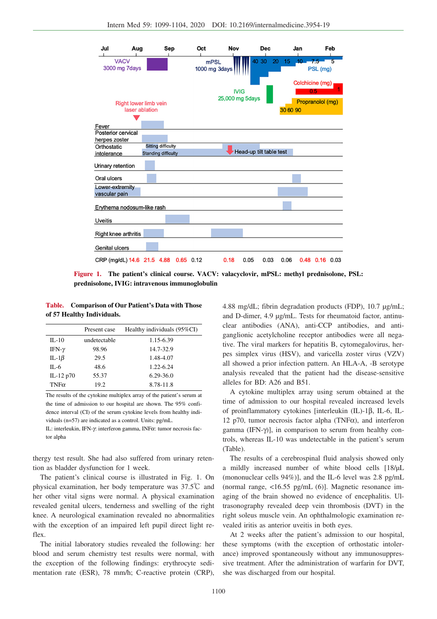

**Figure 1. The patient's clinical course. VACV: valacyclovir, mPSL: methyl prednisolone, PSL: prednisolone, IVIG: intravenous immunoglobulin**

**Table. Comparison of Our Patient's Data with Those of 57 Healthy Individuals.**

|               | Present case | Healthy individuals (95%CI) |
|---------------|--------------|-----------------------------|
| $II - 10$     | undetectable | 1.15-6.39                   |
| IFN- $\gamma$ | 98.96        | 14.7-32.9                   |
| IL-1 $\beta$  | 29.5         | 1.48-4.07                   |
| $IL - 6$      | 48.6         | 1.22-6.24                   |
| IL-12 $p70$   | 55.37        | $6.29 - 36.0$               |
| $TNF\alpha$   | 19.2         | 8.78-11.8                   |

The results of the cytokine multiplex array of the patient's serum at the time of admission to our hospital are shown. The 95% confidence interval (CI) of the serum cytokine levels from healthy individuals (n=57) are indicated as a control. Units: pg/mL.

IL: interleukin, IFN-γ: interferon gamma, INFα: tumor necrosis factor alpha

thergy test result. She had also suffered from urinary retention as bladder dysfunction for 1 week.

The patient's clinical course is illustrated in Fig. 1. On physical examination, her body temperature was 37.5℃ and her other vital signs were normal. A physical examination revealed genital ulcers, tenderness and swelling of the right knee. A neurological examination revealed no abnormalities with the exception of an impaired left pupil direct light reflex.

The initial laboratory studies revealed the following: her blood and serum chemistry test results were normal, with the exception of the following findings: erythrocyte sedimentation rate (ESR), 78 mm/h; C-reactive protein (CRP), 4.88 mg/dL; fibrin degradation products (FDP), 10.7 μg/mL; and D-dimer, 4.9 μg/mL. Tests for rheumatoid factor, antinuclear antibodies (ANA), anti-CCP antibodies, and antiganglionic acetylcholine receptor antibodies were all negative. The viral markers for hepatitis B, cytomegalovirus, herpes simplex virus (HSV), and varicella zoster virus (VZV) all showed a prior infection pattern. An HLA-A, -B serotype analysis revealed that the patient had the disease-sensitive alleles for BD: A26 and B51.

A cytokine multiplex array using serum obtained at the time of admission to our hospital revealed increased levels of proinflammatory cytokines [interleukin (IL)-1β, IL-6, IL-12 p70, tumor necrosis factor alpha (TNF $\alpha$ ), and interferon gamma (IFN-γ)], in comparison to serum from healthy controls, whereas IL-10 was undetectable in the patient's serum (Table).

The results of a cerebrospinal fluid analysis showed only a mildly increased number of white blood cells [18/μL (mononuclear cells 94%)], and the IL-6 level was 2.8 pg/mL (normal range,  $\langle 16.55 \text{ pg/mL}$  (6)]. Magnetic resonance imaging of the brain showed no evidence of encephalitis. Ultrasonography revealed deep vein thrombosis (DVT) in the right soleus muscle vein. An ophthalmologic examination revealed iritis as anterior uveitis in both eyes.

At 2 weeks after the patient's admission to our hospital, these symptoms (with the exception of orthostatic intolerance) improved spontaneously without any immunosuppressive treatment. After the administration of warfarin for DVT, she was discharged from our hospital.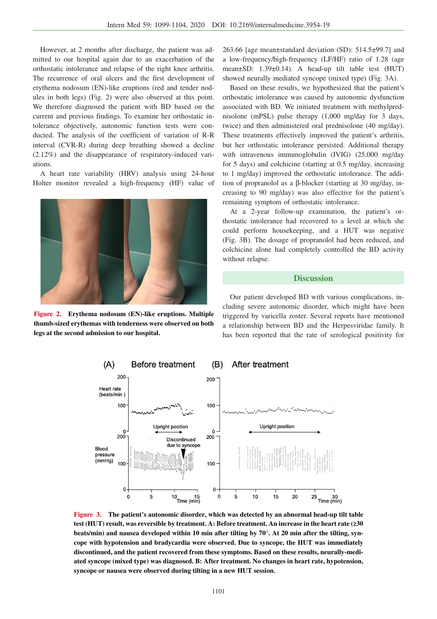However, at 2 months after discharge, the patient was admitted to our hospital again due to an exacerbation of the orthostatic intolerance and relapse of the right knee arthritis. The recurrence of oral ulcers and the first development of erythema nodosum (EN)-like eruptions (red and tender nodules in both legs) (Fig. 2) were also observed at this point. We therefore diagnosed the patient with BD based on the current and previous findings. To examine her orthostatic intolerance objectively, autonomic function tests were conducted. The analysis of the coefficient of variation of R-R interval (CVR-R) during deep breathing showed a decline (2.12%) and the disappearance of respiratory-induced variations.

A heart rate variability (HRV) analysis using 24-hour Holter monitor revealed a high-frequency (HF) value of



**Figure 2. Erythema nodosum (EN)-like eruptions. Multiple thumb-sized erythemas with tenderness were observed on both legs at the second admission to our hospital.**

263.66 [age mean±standard deviation (SD): 514.5±99.7] and a low-frequency/high-frequency (LF/HF) ratio of 1.28 (age mean±SD: 1.39±0.14). A head-up tilt table test (HUT) showed neurally mediated syncope (mixed type) (Fig. 3A).

Based on these results, we hypothesized that the patient's orthostatic intolerance was caused by autonomic dysfunction associated with BD. We initiated treatment with methylprednisolone (mPSL) pulse therapy (1,000 mg/day for 3 days, twice) and then administered oral prednisolone (40 mg/day). These treatments effectively improved the patient's arthritis, but her orthostatic intolerance persisted. Additional therapy with intravenous immunoglobulin (IVIG) (25,000 mg/day for 5 days) and colchicine (starting at 0.5 mg/day, increasing to 1 mg/day) improved the orthostatic intolerance. The addition of propranolol as a β-blocker (starting at 30 mg/day, increasing to 90 mg/day) was also effective for the patient's remaining symptom of orthostatic intolerance.

At a 2-year follow-up examination, the patient's orthostatic intolerance had recovered to a level at which she could perform housekeeping, and a HUT was negative (Fig. 3B). The dosage of propranolol had been reduced, and colchicine alone had completely controlled the BD activity without relapse.

#### **Discussion**

Our patient developed BD with various complications, including severe autonomic disorder, which might have been triggered by varicella zoster. Several reports have mentioned a relationship between BD and the Herpesviridae family. It has been reported that the rate of serological positivity for



**Figure 3. The patient's autonomic disorder, which was detected by an abnormal head-up tilt table test (HUT) result, was reversible by treatment. A: Before treatment. An increase in the heart rate (≥30 beats/min) and nausea developed within 10 min after tilting by 70°. At 20 min after the tilting, syncope with hypotension and bradycardia were observed. Due to syncope, the HUT was immediately discontinued, and the patient recovered from these symptoms. Based on these results, neurally-mediated syncope (mixed type) was diagnosed. B: After treatment. No changes in heart rate, hypotension, syncope or nausea were observed during tilting in a new HUT session.**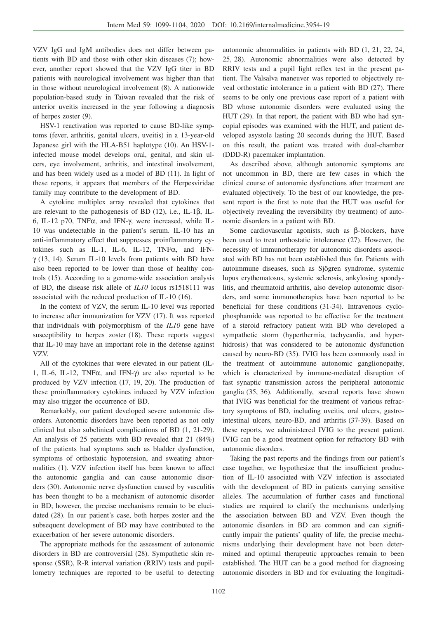VZV IgG and IgM antibodies does not differ between patients with BD and those with other skin diseases (7); however, another report showed that the VZV IgG titer in BD patients with neurological involvement was higher than that in those without neurological involvement (8). A nationwide population-based study in Taiwan revealed that the risk of anterior uveitis increased in the year following a diagnosis of herpes zoster (9).

HSV-1 reactivation was reported to cause BD-like symptoms (fever, arthritis, genital ulcers, uveitis) in a 13-year-old Japanese girl with the HLA-B51 haplotype (10). An HSV-1 infected mouse model develops oral, genital, and skin ulcers, eye involvement, arthritis, and intestinal involvement, and has been widely used as a model of BD (11). In light of these reports, it appears that members of the Herpesviridae family may contribute to the development of BD.

A cytokine multiplex array revealed that cytokines that are relevant to the pathogenesis of BD (12), i.e., IL-1β, IL-6, IL-12 p70, TNFα, and IFN-γ, were increased, while IL-10 was undetectable in the patient's serum. IL-10 has an anti-inflammatory effect that suppresses proinflammatory cytokines such as IL-1, IL-6, IL-12, TNFα, and IFN $γ$  (13, 14). Serum IL-10 levels from patients with BD have also been reported to be lower than those of healthy controls (15). According to a genome-wide association analysis of BD, the disease risk allele of *IL10* locus rs1518111 was associated with the reduced production of IL-10 (16).

In the context of VZV, the serum IL-10 level was reported to increase after immunization for VZV (17). It was reported that individuals with polymorphism of the *IL10* gene have susceptibility to herpes zoster (18). These reports suggest that IL-10 may have an important role in the defense against VZV.

All of the cytokines that were elevated in our patient (IL-1, IL-6, IL-12, TNFα, and IFN-γ) are also reported to be produced by VZV infection (17, 19, 20). The production of these proinflammatory cytokines induced by VZV infection may also trigger the occurrence of BD.

Remarkably, our patient developed severe autonomic disorders. Autonomic disorders have been reported as not only clinical but also subclinical complications of BD (1, 21-29). An analysis of 25 patients with BD revealed that 21 (84%) of the patients had symptoms such as bladder dysfunction, symptoms of orthostatic hypotension, and sweating abnormalities (1). VZV infection itself has been known to affect the autonomic ganglia and can cause autonomic disorders (30). Autonomic nerve dysfunction caused by vasculitis has been thought to be a mechanism of autonomic disorder in BD; however, the precise mechanisms remain to be elucidated (28). In our patient's case, both herpes zoster and the subsequent development of BD may have contributed to the exacerbation of her severe autonomic disorders.

The appropriate methods for the assessment of autonomic disorders in BD are controversial (28). Sympathetic skin response (SSR), R-R interval variation (RRIV) tests and pupillometry techniques are reported to be useful to detecting

autonomic abnormalities in patients with BD (1, 21, 22, 24, 25, 28). Autonomic abnormalities were also detected by RRIV tests and a pupil light reflex test in the present patient. The Valsalva maneuver was reported to objectively reveal orthostatic intolerance in a patient with BD (27). There seems to be only one previous case report of a patient with BD whose autonomic disorders were evaluated using the HUT (29). In that report, the patient with BD who had syncopial episodes was examined with the HUT, and patient developed asystole lasting 20 seconds during the HUT. Based on this result, the patient was treated with dual-chamber (DDD-R) pacemaker implantation.

As described above, although autonomic symptoms are not uncommon in BD, there are few cases in which the clinical course of autonomic dysfunctions after treatment are evaluated objectively. To the best of our knowledge, the present report is the first to note that the HUT was useful for objectively revealing the reversibility (by treatment) of autonomic disorders in a patient with BD.

Some cardiovascular agonists, such as β-blockers, have been used to treat orthostatic intolerance (27). However, the necessity of immunotherapy for autonomic disorders associated with BD has not been established thus far. Patients with autoimmune diseases, such as Sjögren syndrome, systemic lupus erythematosus, systemic sclerosis, ankylosing spondylitis, and rheumatoid arthritis, also develop autonomic disorders, and some immunotherapies have been reported to be beneficial for these conditions (31-34). Intravenous cyclophosphamide was reported to be effective for the treatment of a steroid refractory patient with BD who developed a sympathetic storm (hyperthermia, tachycardia, and hyperhidrosis) that was considered to be autonomic dysfunction caused by neuro-BD (35). IVIG has been commonly used in the treatment of autoimmune autonomic ganglionopathy, which is characterized by immune-mediated disruption of fast synaptic transmission across the peripheral autonomic ganglia (35, 36). Additionally, several reports have shown that IVIG was beneficial for the treatment of various refractory symptoms of BD, including uveitis, oral ulcers, gastrointestinal ulcers, neuro-BD, and arthritis (37-39). Based on these reports, we administered IVIG to the present patient. IVIG can be a good treatment option for refractory BD with autonomic disorders.

Taking the past reports and the findings from our patient's case together, we hypothesize that the insufficient production of IL-10 associated with VZV infection is associated with the development of BD in patients carrying sensitive alleles. The accumulation of further cases and functional studies are required to clarify the mechanisms underlying the association between BD and VZV. Even though the autonomic disorders in BD are common and can significantly impair the patients' quality of life, the precise mechanisms underlying their development have not been determined and optimal therapeutic approaches remain to been established. The HUT can be a good method for diagnosing autonomic disorders in BD and for evaluating the longitudi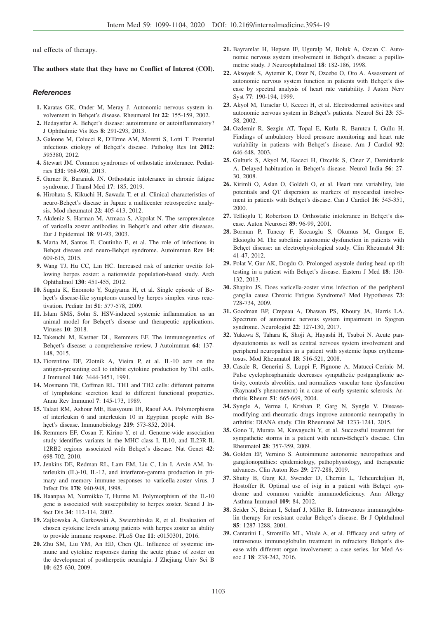nal effects of therapy.

### **The authors state that they have no Conflict of Interest (COI).**

## **References**

- **1.** Karatas GK, Onder M, Meray J. Autonomic nervous system involvement in Behçet's disease. Rheumatol Int **22**: 155-159, 2002.
- **2.** Hedayatfar A. Behçet's disease: autoimmune or autoinflammatory? J Ophthalmic Vis Res **8**: 291-293, 2013.
- **3.** Galeone M, Colucci R, D'Erme AM, Moretti S, Lotti T. Potential infectious etiology of Behçet's disease. Patholog Res Int **2012**: 595380, 2012.
- **4.** Stewart JM. Common syndromes of orthostatic intolerance. Pediatrics **131**: 968-980, 2013.
- **5.** Garner R, Baraniuk JN. Orthostatic intolerance in chronic fatigue syndrome. J Transl Med **17**: 185, 2019.
- **6.** Hirohata S, Kikuchi H, Sawada T, et al. Clinical characteristics of neuro-Behçet's disease in Japan: a multicenter retrospective analysis. Mod rheumatol **22**: 405-413, 2012.
- **7.** Akdeniz S, Harman M, Atmaca S, Akpolat N. The seroprevalence of varicella zoster antibodies in Behçet's and other skin diseases. Eur J Epidemiol **18**: 91-93, 2003.
- **8.** Marta M, Santos E, Coutinho E, et al. The role of infections in Behçet disease and neuro-Behçet syndrome. Autoimmun Rev **14**: 609-615, 2015.
- **9.** Wang TJ, Hu CC, Lin HC. Increased risk of anterior uveitis following herpes zoster: a nationwide population-based study. Arch Ophthalmol **130**: 451-455, 2012.
- **10.** Sugata K, Enomoto Y, Sugiyama H, et al. Single episode of Behçet's disease-like symptoms caused by herpes simplex virus reactivation. Pediatr Int **51**: 577-578, 2009.
- **11.** Islam SMS, Sohn S. HSV-induced systemic inflammation as an animal model for Behçet's disease and therapeutic applications. Viruses **10**: 2018.
- **12.** Takeuchi M, Kastner DL, Remmers EF. The immunogenetics of Behçet's disease: a comprehensive review. J Autoimmun **64**: 137- 148, 2015.
- **13.** Fiorentino DF, Zlotnik A, Vieira P, et al. IL-10 acts on the antigen-presenting cell to inhibit cytokine production by Th1 cells. J Immunol **146**: 3444-3451, 1991.
- **14.** Mosmann TR, Coffman RL. TH1 and TH2 cells: different patterns of lymphokine secretion lead to different functional properties. Annu Rev Immunol **7**: 145-173, 1989.
- **15.** Talaat RM, Ashour ME, Bassyouni IH, Raouf AA. Polymorphisms of interleukin 6 and interleukin 10 in Egyptian people with Behçet's disease. Immunobiology **219**: 573-852, 2014.
- **16.** Remmers EF, Cosan F, Kirino Y, et al. Genome-wide association study identifies variants in the MHC class I, IL10, and IL23R-IL 12RB2 regions associated with Behçet's disease. Nat Genet **42**: 698-702, 2010.
- **17.** Jenkins DE, Redman RL, Lam EM, Liu C, Lin I, Arvin AM. Interleukin (IL)-10, IL-12, and interferon-gamma production in primary and memory immune responses to varicella-zoster virus. J Infect Dis **178**: 940-948, 1998.
- **18.** Haanpaa M, Nurmikko T, Hurme M. Polymorphism of the IL-10 gene is associated with susceptibility to herpes zoster. Scand J Infect Dis **34**: 112-114, 2002.
- **19.** Zajkowska A, Garkowski A, Swierzbinska R, et al. Evaluation of chosen cytokine levels among patients with herpes zoster as ability to provide immune response. PLoS One **11**: e0150301, 2016.
- **20.** Zhu SM, Liu YM, An ED, Chen QL. Influence of systemic immune and cytokine responses during the acute phase of zoster on the development of postherpetic neuralgia. J Zhejiang Univ Sci B **10**: 625-630, 2009.
- **21.** Bayramlar H, Hepsen IF, Uguralp M, Boluk A, Ozcan C. Autonomic nervous system involvement in Behçet's disease: a pupillometric study. J Neuroophthalmol **18**: 182-186, 1998.
- **22.** Aksoyek S, Aytemir K, Ozer N, Ozcebe O, Oto A. Assessment of autonomic nervous system function in patients with Behçet's disease by spectral analysis of heart rate variability. J Auton Nerv Syst **77**: 190-194, 1999.
- **23.** Akyol M, Turaclar U, Kececi H, et al. Electrodermal activities and autonomic nervous system in Behçet's patients. Neurol Sci **23**: 55- 58, 2002.
- **24.** Ozdemir R, Sezgin AT, Topal E, Kutlu R, Barutcu I, Gullu H. Findings of ambulatory blood pressure monitoring and heart rate variability in patients with Behçet's disease. Am J Cardiol **92**: 646-648, 2003.
- **25.** Gulturk S, Akyol M, Kececi H, Ozcelik S, Cinar Z, Demirkazik A. Delayed habituation in Behçet's disease. Neurol India **56**: 27- 30, 2008.
- **26.** Kirimli O, Aslan O, Goldeli O, et al. Heart rate variability, late potentials and QT dispersion as markers of myocardial involvement in patients with Behçet's disease. Can J Cardiol **16**: 345-351, 2000.
- **27.** Tellioglu T, Robertson D. Orthostatic intolerance in Behçet's disease. Auton Neurosci **89**: 96-99, 2001.
- **28.** Borman P, Tuncay F, Kocaoglu S, Okumus M, Gungor E, Eksioglu M. The subclinic autonomic dysfunction in patients with Behçet disease: an electrophysiological study. Clin Rheumatol **31**: 41-47, 2012.
- **29.** Polat V, Gur AK, Dogdu O. Prolonged asystole during head-up tilt testing in a patient with Behçet's disease. Eastern J Med **18**: 130- 132, 2013.
- **30.** Shapiro JS. Does varicella-zoster virus infection of the peripheral ganglia cause Chronic Fatigue Syndrome? Med Hypotheses **73**: 728-734, 2009.
- **31.** Goodman BP, Crepeau A, Dhawan PS, Khoury JA, Harris LA. Spectrum of autonomic nervous system impairment in Sjogren syndrome. Neurologist **22**: 127-130, 2017.
- **32.** Yukawa S, Tahara K, Shoji A, Hayashi H, Tsuboi N. Acute pandysautonomia as well as central nervous system involvement and peripheral neuropathies in a patient with systemic lupus erythematosus. Mod Rheumatol **18**: 516-521, 2008.
- **33.** Casale R, Generini S, Luppi F, Pignone A, Matucci-Cerinic M. Pulse cyclophosphamide decreases sympathetic postganglionic activity, controls alveolitis, and normalizes vascular tone dysfunction (Raynaud's phenomenon) in a case of early systemic sclerosis. Arthritis Rheum **51**: 665-669, 2004.
- **34.** Syngle A, Verma I, Krishan P, Garg N, Syngle V. Diseasemodifying anti-rheumatic drugs improve autonomic neuropathy in arthritis: DIANA study. Clin Rheumatol **34**: 1233-1241, 2015.
- **35.** Gono T, Murata M, Kawaguchi Y, et al. Successful treatment for sympathetic storms in a patient with neuro-Behçet's disease. Clin Rheumatol **28**: 357-359, 2009.
- **36.** Golden EP, Vernino S. Autoimmune autonomic neuropathies and ganglionopathies: epidemiology, pathophysiology, and therapeutic advances. Clin Auton Res **29**: 277-288, 2019.
- **37.** Shutty B, Garg KJ, Swender D, Chernin L, Tcheurekdjian H, Hostoffer R. Optimal use of ivig in a patient with Behçet syndrome and common variable immunodeficiency. Ann Allergy Asthma Immunol **109**: 84, 2012.
- **38.** Seider N, Beiran I, Scharf J, Miller B. Intravenous immunoglobulin therapy for resistant ocular Behçet's disease. Br J Ophthalmol **85**: 1287-1288, 2001.
- **39.** Cantarini L, Stromillo ML, Vitale A, et al. Efficacy and safety of intravenous immunoglobulin treatment in refractory Behçet's disease with different organ involvement: a case series. Isr Med Assoc J **18**: 238-242, 2016.